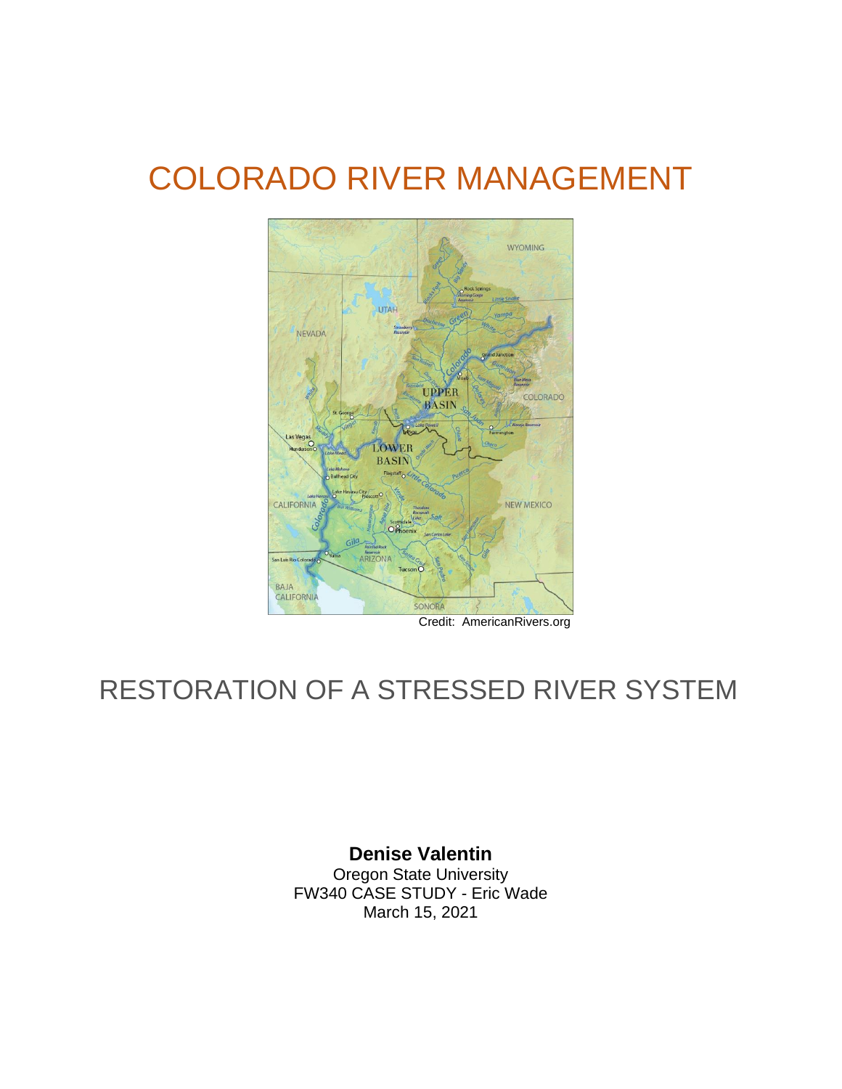# COLORADO RIVER MANAGEMENT



Credit: AmericanRivers.org

## RESTORATION OF A STRESSED RIVER SYSTEM

**Denise Valentin** Oregon State University FW340 CASE STUDY - Eric Wade March 15, 2021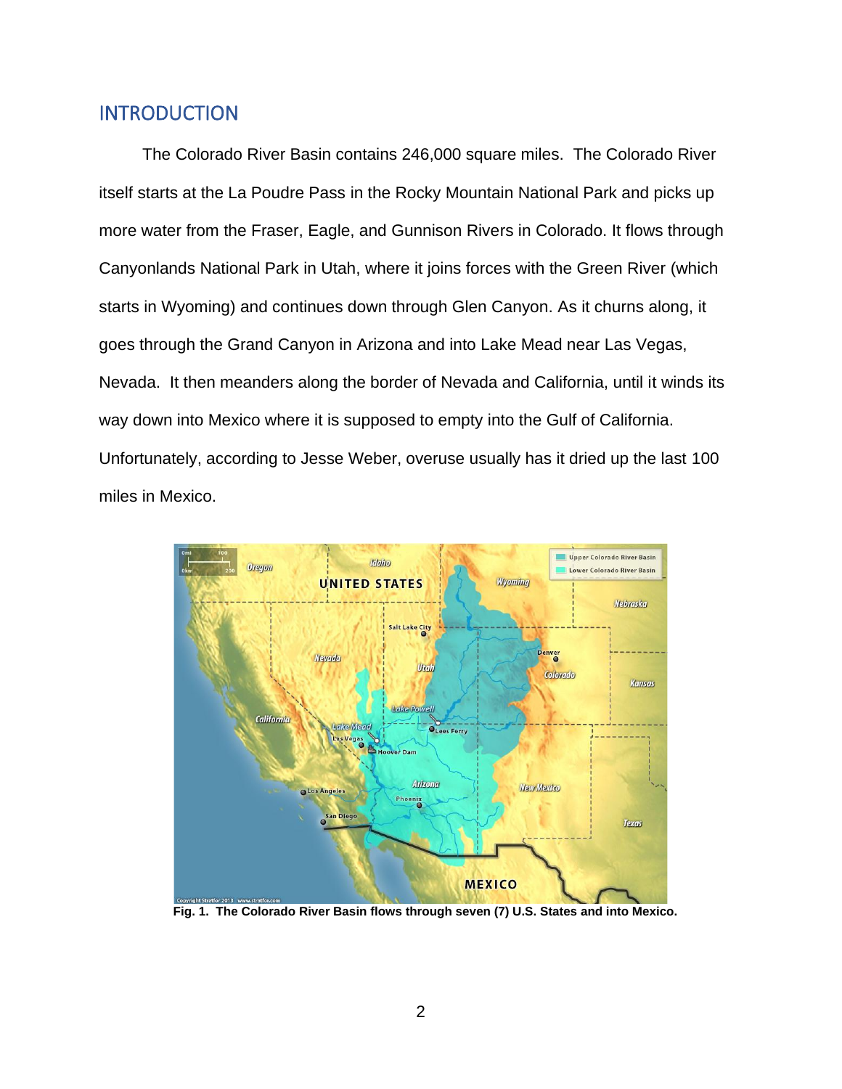#### INTRODUCTION

The Colorado River Basin contains 246,000 square miles. The Colorado River itself starts at the La Poudre Pass in the Rocky Mountain National Park and picks up more water from the Fraser, Eagle, and Gunnison Rivers in Colorado. It flows through Canyonlands National Park in Utah, where it joins forces with the Green River (which starts in Wyoming) and continues down through Glen Canyon. As it churns along, it goes through the Grand Canyon in Arizona and into Lake Mead near Las Vegas, Nevada. It then meanders along the border of Nevada and California, until it winds its way down into Mexico where it is supposed to empty into the Gulf of California. Unfortunately, according to Jesse Weber, overuse usually has it dried up the last 100 miles in Mexico.



**Fig. 1. The Colorado River Basin flows through seven (7) U.S. States and into Mexico.**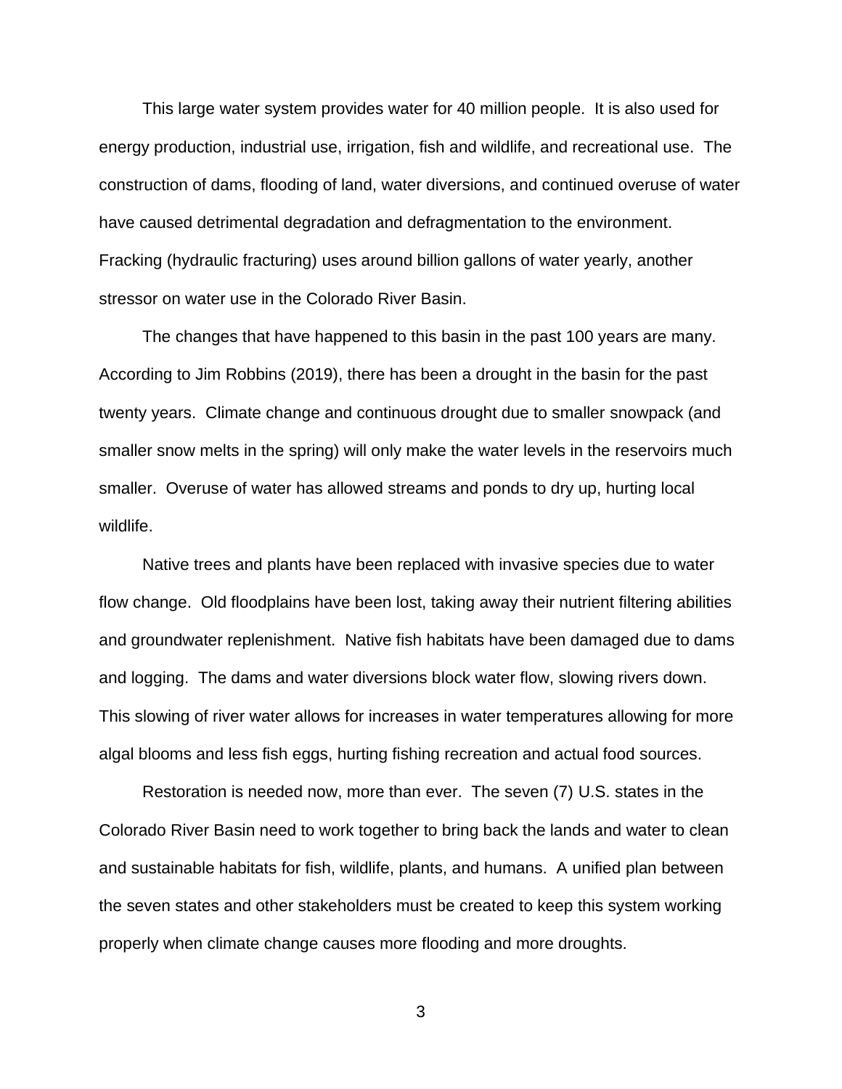This large water system provides water for 40 million people. It is also used for energy production, industrial use, irrigation, fish and wildlife, and recreational use. The construction of dams, flooding of land, water diversions, and continued overuse of water have caused detrimental degradation and defragmentation to the environment. Fracking (hydraulic fracturing) uses around billion gallons of water yearly, another stressor on water use in the Colorado River Basin.

The changes that have happened to this basin in the past 100 years are many. According to Jim Robbins (2019), there has been a drought in the basin for the past twenty years. Climate change and continuous drought due to smaller snowpack (and smaller snow melts in the spring) will only make the water levels in the reservoirs much smaller. Overuse of water has allowed streams and ponds to dry up, hurting local wildlife.

Native trees and plants have been replaced with invasive species due to water flow change. Old floodplains have been lost, taking away their nutrient filtering abilities and groundwater replenishment. Native fish habitats have been damaged due to dams and logging. The dams and water diversions block water flow, slowing rivers down. This slowing of river water allows for increases in water temperatures allowing for more algal blooms and less fish eggs, hurting fishing recreation and actual food sources.

Restoration is needed now, more than ever. The seven (7) U.S. states in the Colorado River Basin need to work together to bring back the lands and water to clean and sustainable habitats for fish, wildlife, plants, and humans. A unified plan between the seven states and other stakeholders must be created to keep this system working properly when climate change causes more flooding and more droughts.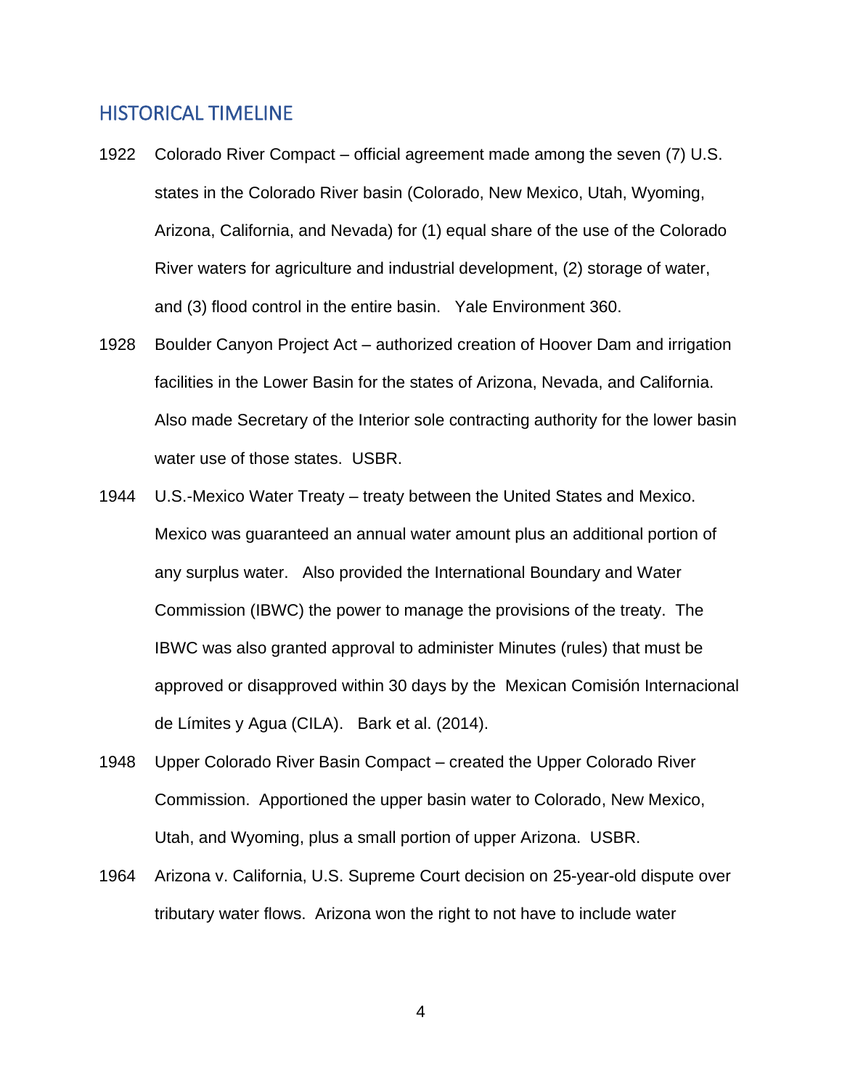#### HISTORICAL TIMELINE

- 1922 Colorado River Compact official agreement made among the seven (7) U.S. states in the Colorado River basin (Colorado, New Mexico, Utah, Wyoming, Arizona, California, and Nevada) for (1) equal share of the use of the Colorado River waters for agriculture and industrial development, (2) storage of water, and (3) flood control in the entire basin. Yale Environment 360.
- 1928 Boulder Canyon Project Act authorized creation of Hoover Dam and irrigation facilities in the Lower Basin for the states of Arizona, Nevada, and California. Also made Secretary of the Interior sole contracting authority for the lower basin water use of those states. USBR.
- 1944 U.S.-Mexico Water Treaty treaty between the United States and Mexico. Mexico was guaranteed an annual water amount plus an additional portion of any surplus water. Also provided the International Boundary and Water Commission (IBWC) the power to manage the provisions of the treaty. The IBWC was also granted approval to administer Minutes (rules) that must be approved or disapproved within 30 days by the Mexican Comisión Internacional de Límites y Agua (CILA). Bark et al. (2014).
- 1948 Upper Colorado River Basin Compact created the Upper Colorado River Commission. Apportioned the upper basin water to Colorado, New Mexico, Utah, and Wyoming, plus a small portion of upper Arizona. USBR.
- 1964 Arizona v. California, U.S. Supreme Court decision on 25-year-old dispute over tributary water flows. Arizona won the right to not have to include water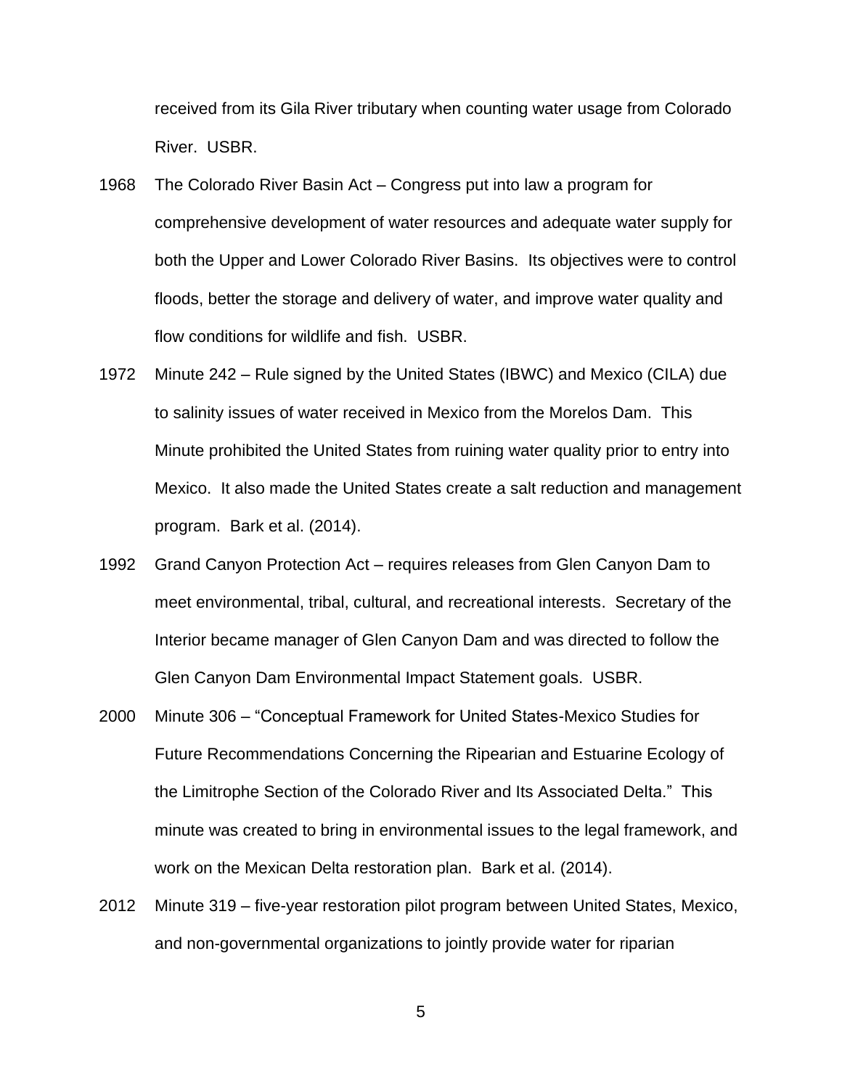received from its Gila River tributary when counting water usage from Colorado River. USBR.

- 1968 The Colorado River Basin Act Congress put into law a program for comprehensive development of water resources and adequate water supply for both the Upper and Lower Colorado River Basins. Its objectives were to control floods, better the storage and delivery of water, and improve water quality and flow conditions for wildlife and fish. USBR.
- 1972 Minute 242 Rule signed by the United States (IBWC) and Mexico (CILA) due to salinity issues of water received in Mexico from the Morelos Dam. This Minute prohibited the United States from ruining water quality prior to entry into Mexico. It also made the United States create a salt reduction and management program. Bark et al. (2014).
- 1992 Grand Canyon Protection Act requires releases from Glen Canyon Dam to meet environmental, tribal, cultural, and recreational interests. Secretary of the Interior became manager of Glen Canyon Dam and was directed to follow the Glen Canyon Dam Environmental Impact Statement goals. USBR.
- 2000 Minute 306 "Conceptual Framework for United States-Mexico Studies for Future Recommendations Concerning the Ripearian and Estuarine Ecology of the Limitrophe Section of the Colorado River and Its Associated Delta." This minute was created to bring in environmental issues to the legal framework, and work on the Mexican Delta restoration plan. Bark et al. (2014).
- 2012 Minute 319 five-year restoration pilot program between United States, Mexico, and non-governmental organizations to jointly provide water for riparian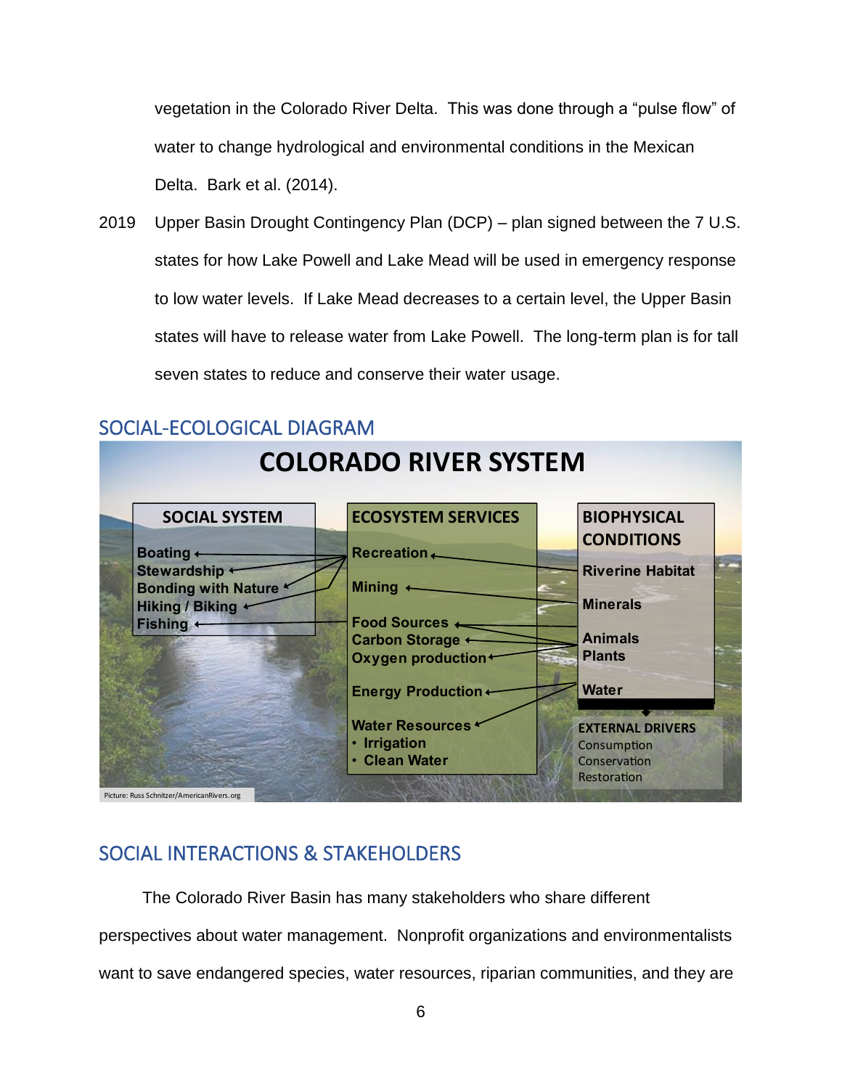vegetation in the Colorado River Delta. This was done through a "pulse flow" of water to change hydrological and environmental conditions in the Mexican Delta. Bark et al. (2014).

2019 Upper Basin Drought Contingency Plan (DCP) – plan signed between the 7 U.S. states for how Lake Powell and Lake Mead will be used in emergency response to low water levels. If Lake Mead decreases to a certain level, the Upper Basin states will have to release water from Lake Powell. The long-term plan is for tall seven states to reduce and conserve their water usage.



### SOCIAL-ECOLOGICAL DIAGRAM

## SOCIAL INTERACTIONS & STAKEHOLDERS

The Colorado River Basin has many stakeholders who share different perspectives about water management. Nonprofit organizations and environmentalists want to save endangered species, water resources, riparian communities, and they are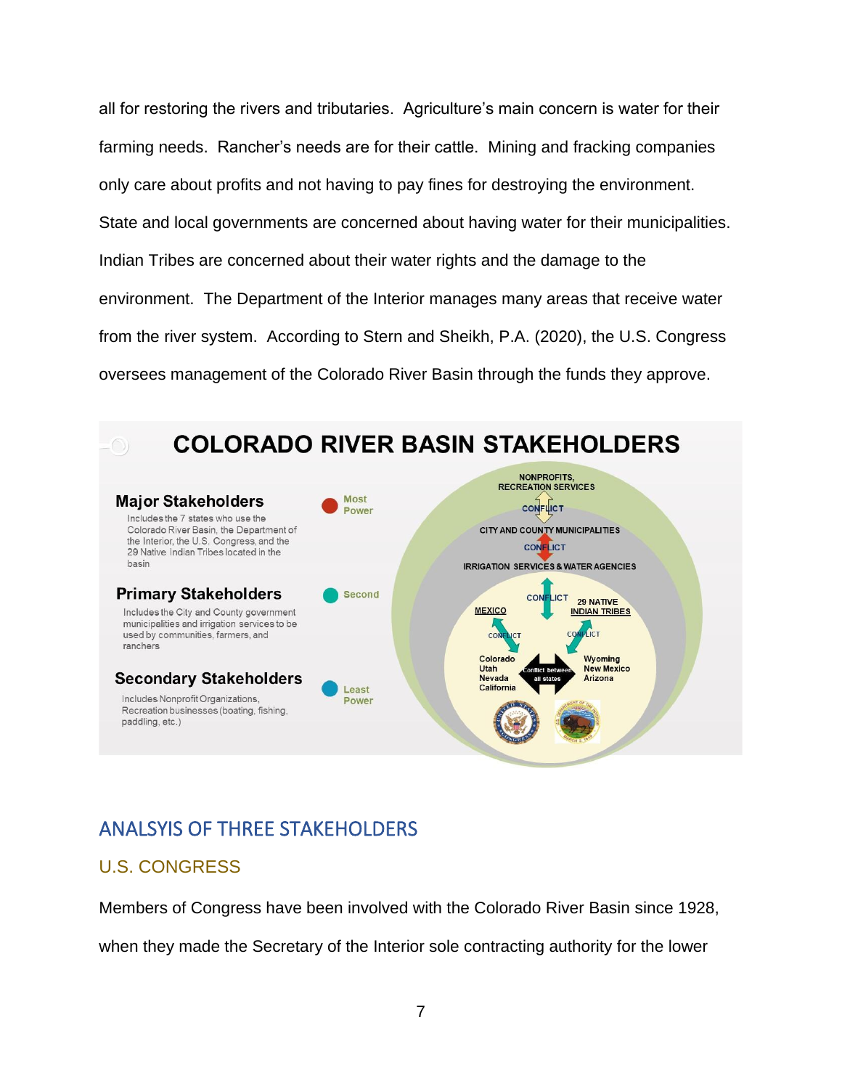all for restoring the rivers and tributaries. Agriculture's main concern is water for their farming needs. Rancher's needs are for their cattle. Mining and fracking companies only care about profits and not having to pay fines for destroying the environment. State and local governments are concerned about having water for their municipalities. Indian Tribes are concerned about their water rights and the damage to the environment. The Department of the Interior manages many areas that receive water from the river system. According to Stern and Sheikh, P.A. (2020), the U.S. Congress oversees management of the Colorado River Basin through the funds they approve.



## ANALSYIS OF THREE STAKEHOLDERS

#### U.S. CONGRESS

Members of Congress have been involved with the Colorado River Basin since 1928,

when they made the Secretary of the Interior sole contracting authority for the lower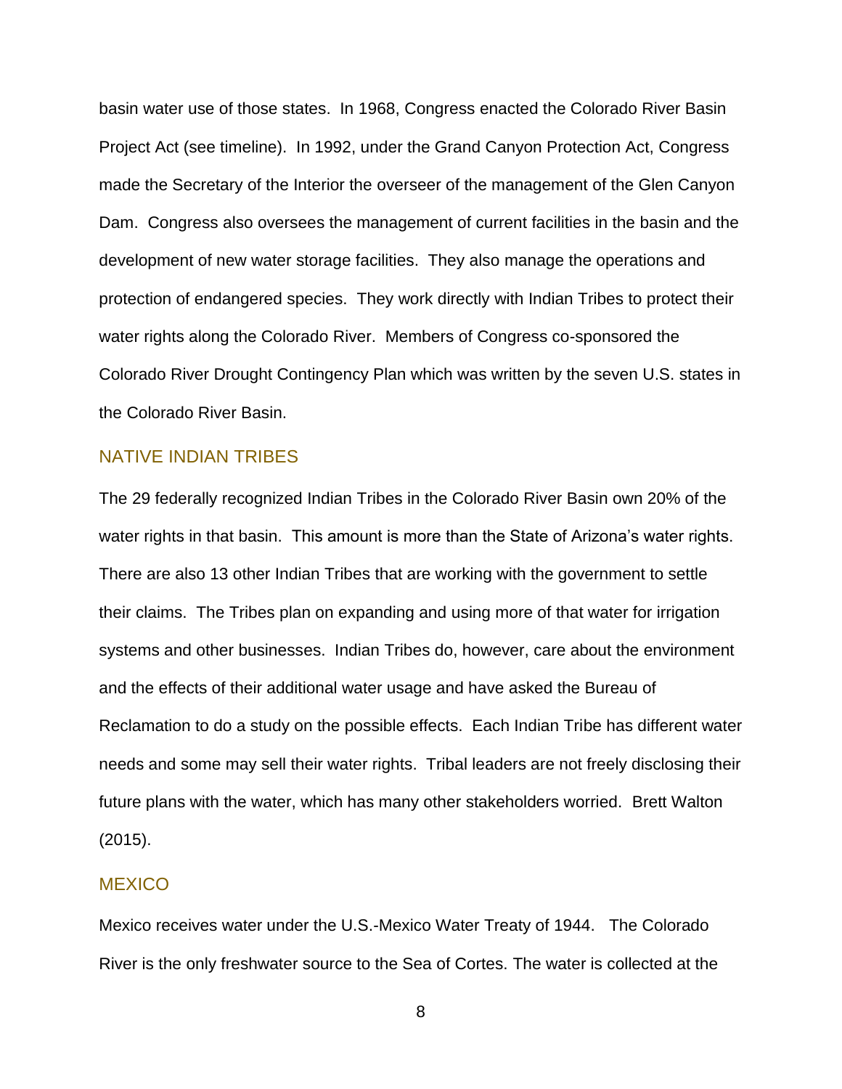basin water use of those states. In 1968, Congress enacted the Colorado River Basin Project Act (see timeline). In 1992, under the Grand Canyon Protection Act, Congress made the Secretary of the Interior the overseer of the management of the Glen Canyon Dam. Congress also oversees the management of current facilities in the basin and the development of new water storage facilities. They also manage the operations and protection of endangered species. They work directly with Indian Tribes to protect their water rights along the Colorado River. Members of Congress co-sponsored the Colorado River Drought Contingency Plan which was written by the seven U.S. states in the Colorado River Basin.

#### NATIVE INDIAN TRIBES

The 29 federally recognized Indian Tribes in the Colorado River Basin own 20% of the water rights in that basin. This amount is more than the State of Arizona's water rights. There are also 13 other Indian Tribes that are working with the government to settle their claims. The Tribes plan on expanding and using more of that water for irrigation systems and other businesses. Indian Tribes do, however, care about the environment and the effects of their additional water usage and have asked the Bureau of Reclamation to do a study on the possible effects. Each Indian Tribe has different water needs and some may sell their water rights. Tribal leaders are not freely disclosing their future plans with the water, which has many other stakeholders worried. Brett Walton (2015).

#### **MEXICO**

Mexico receives water under the U.S.-Mexico Water Treaty of 1944. The Colorado River is the only freshwater source to the Sea of Cortes. The water is collected at the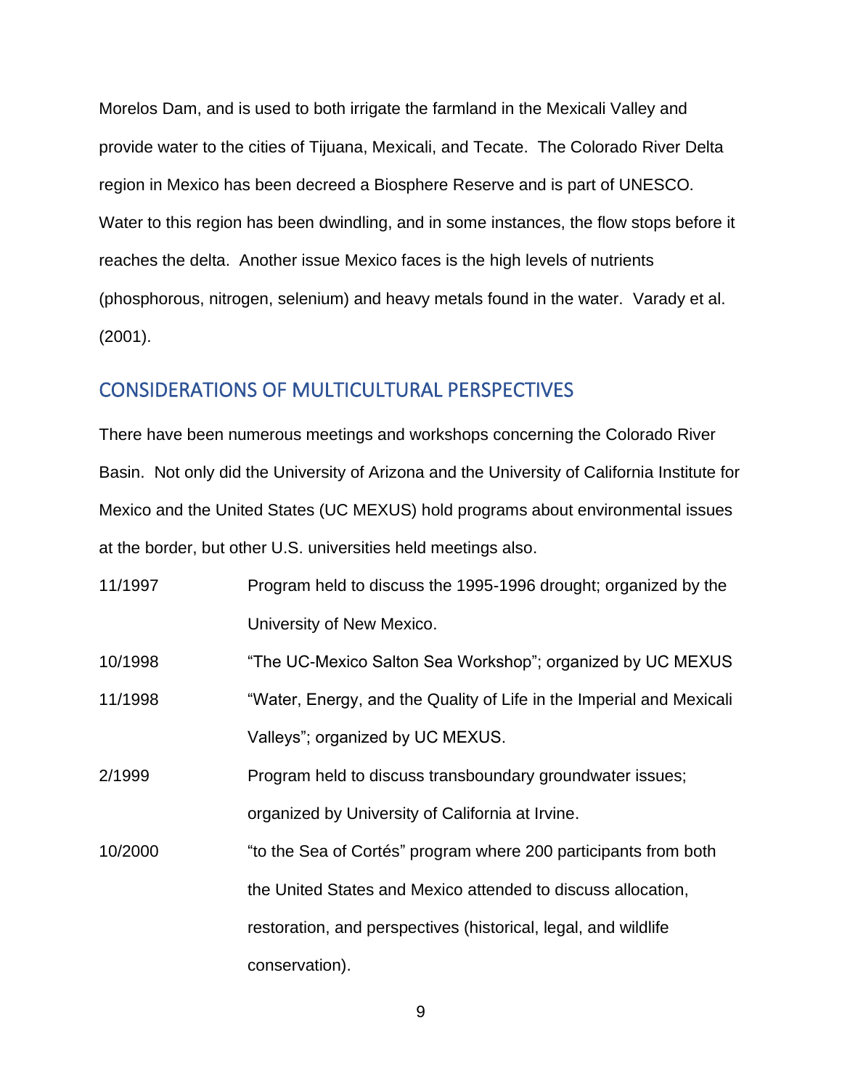Morelos Dam, and is used to both irrigate the farmland in the Mexicali Valley and provide water to the cities of Tijuana, Mexicali, and Tecate. The Colorado River Delta region in Mexico has been decreed a Biosphere Reserve and is part of UNESCO. Water to this region has been dwindling, and in some instances, the flow stops before it reaches the delta. Another issue Mexico faces is the high levels of nutrients (phosphorous, nitrogen, selenium) and heavy metals found in the water. Varady et al. (2001).

#### CONSIDERATIONS OF MULTICULTURAL PERSPECTIVES

There have been numerous meetings and workshops concerning the Colorado River Basin. Not only did the University of Arizona and the University of California Institute for Mexico and the United States (UC MEXUS) hold programs about environmental issues at the border, but other U.S. universities held meetings also.

| 11/1997 | Program held to discuss the 1995-1996 drought; organized by the |
|---------|-----------------------------------------------------------------|
|         | University of New Mexico.                                       |

10/1998 "The UC-Mexico Salton Sea Workshop"; organized by UC MEXUS

11/1998 "Water, Energy, and the Quality of Life in the Imperial and Mexicali Valleys"; organized by UC MEXUS.

2/1999 Program held to discuss transboundary groundwater issues; organized by University of California at Irvine.

10/2000 "to the Sea of Cortés" program where 200 participants from both the United States and Mexico attended to discuss allocation, restoration, and perspectives (historical, legal, and wildlife conservation).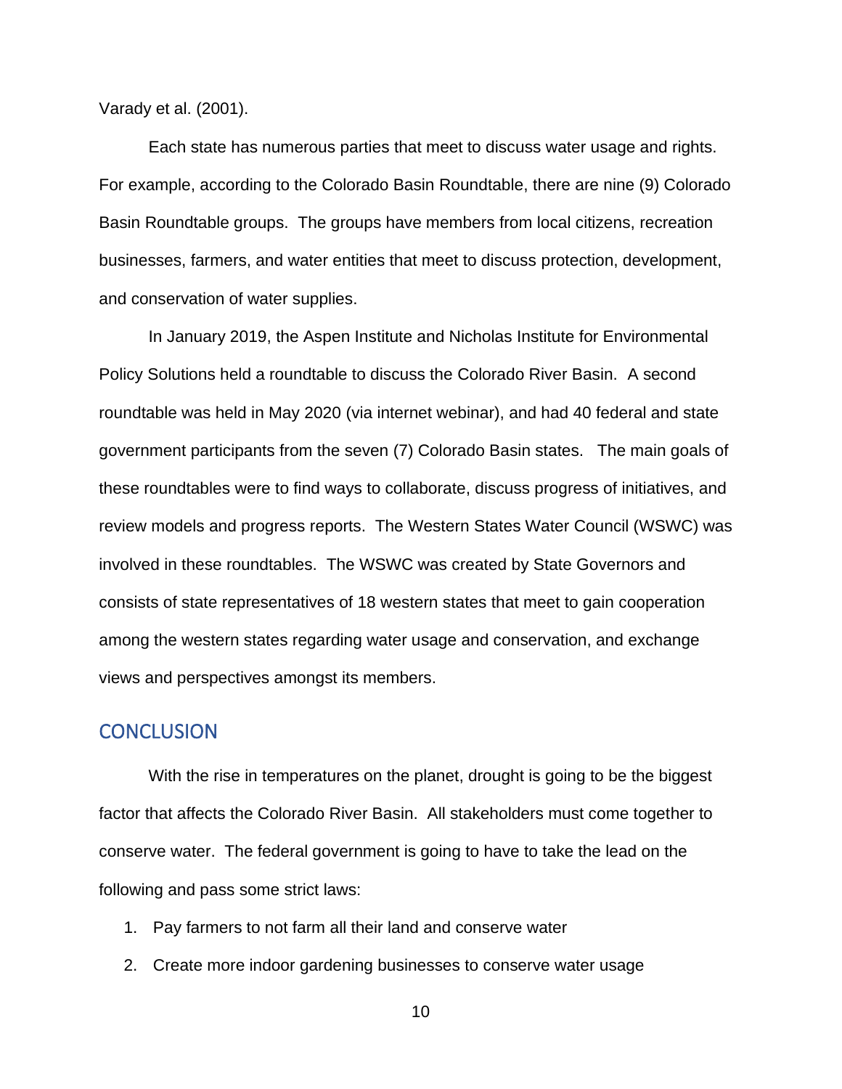Varady et al. (2001).

Each state has numerous parties that meet to discuss water usage and rights. For example, according to the Colorado Basin Roundtable, there are nine (9) Colorado Basin Roundtable groups. The groups have members from local citizens, recreation businesses, farmers, and water entities that meet to discuss protection, development, and conservation of water supplies.

In January 2019, the Aspen Institute and Nicholas Institute for Environmental Policy Solutions held a roundtable to discuss the Colorado River Basin. A second roundtable was held in May 2020 (via internet webinar), and had 40 federal and state government participants from the seven (7) Colorado Basin states. The main goals of these roundtables were to find ways to collaborate, discuss progress of initiatives, and review models and progress reports. The Western States Water Council (WSWC) was involved in these roundtables. The WSWC was created by State Governors and consists of state representatives of 18 western states that meet to gain cooperation among the western states regarding water usage and conservation, and exchange views and perspectives amongst its members.

#### **CONCLUSION**

With the rise in temperatures on the planet, drought is going to be the biggest factor that affects the Colorado River Basin. All stakeholders must come together to conserve water. The federal government is going to have to take the lead on the following and pass some strict laws:

- 1. Pay farmers to not farm all their land and conserve water
- 2. Create more indoor gardening businesses to conserve water usage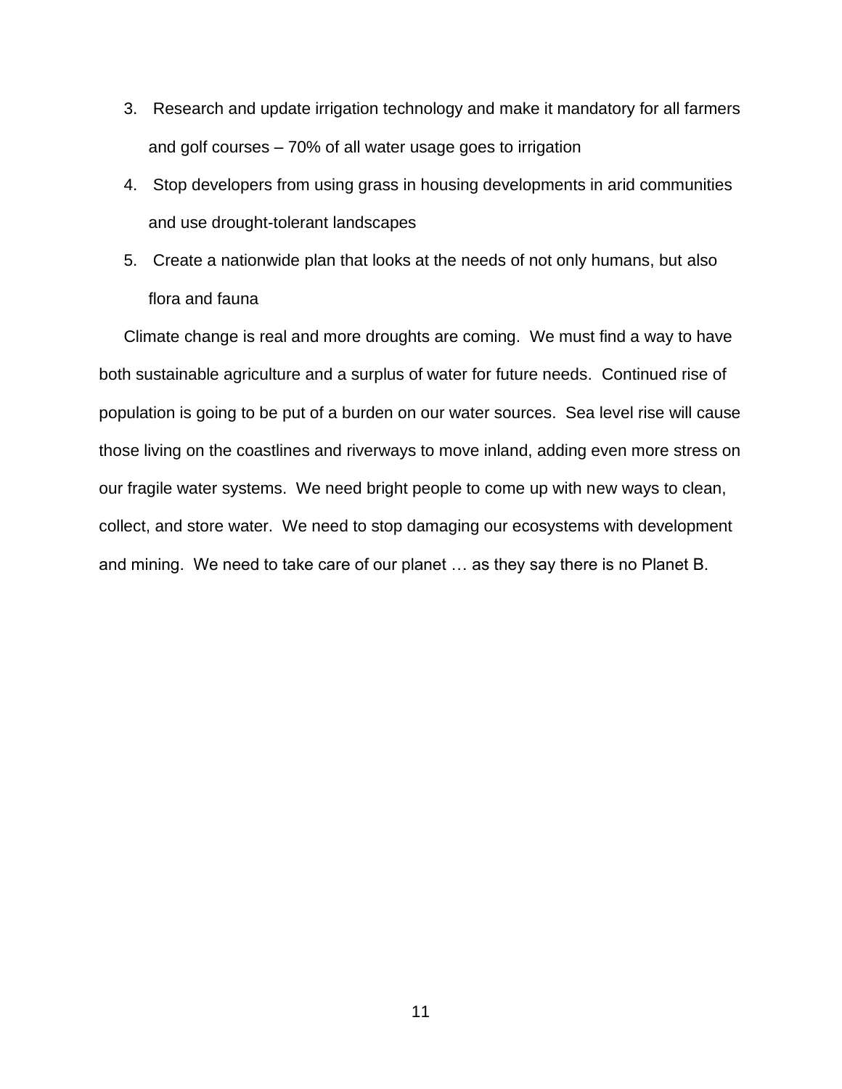- 3. Research and update irrigation technology and make it mandatory for all farmers and golf courses – 70% of all water usage goes to irrigation
- 4. Stop developers from using grass in housing developments in arid communities and use drought-tolerant landscapes
- 5. Create a nationwide plan that looks at the needs of not only humans, but also flora and fauna

Climate change is real and more droughts are coming. We must find a way to have both sustainable agriculture and a surplus of water for future needs. Continued rise of population is going to be put of a burden on our water sources. Sea level rise will cause those living on the coastlines and riverways to move inland, adding even more stress on our fragile water systems. We need bright people to come up with new ways to clean, collect, and store water. We need to stop damaging our ecosystems with development and mining. We need to take care of our planet … as they say there is no Planet B.